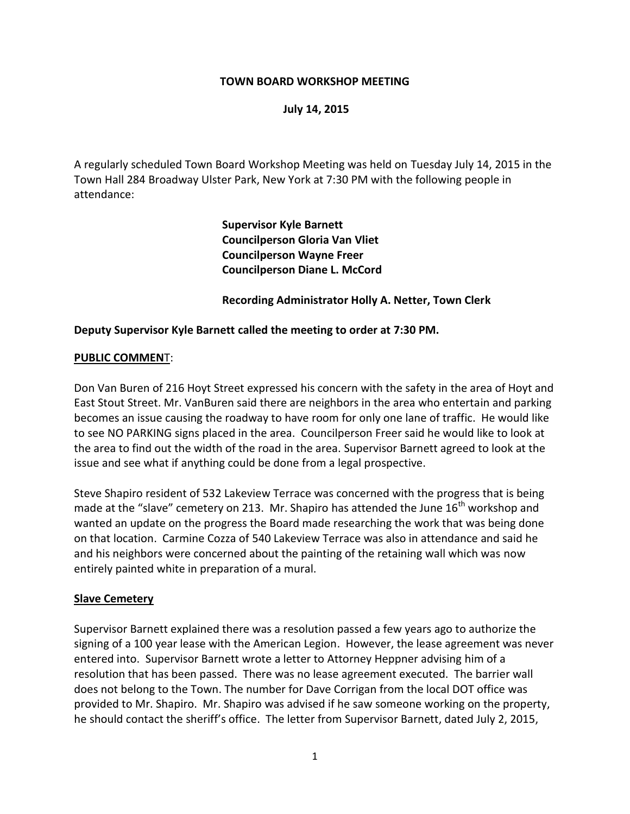### **TOWN BOARD WORKSHOP MEETING**

#### **July 14, 2015**

A regularly scheduled Town Board Workshop Meeting was held on Tuesday July 14, 2015 in the Town Hall 284 Broadway Ulster Park, New York at 7:30 PM with the following people in attendance:

> **Supervisor Kyle Barnett Councilperson Gloria Van Vliet Councilperson Wayne Freer Councilperson Diane L. McCord**

**Recording Administrator Holly A. Netter, Town Clerk**

#### **Deputy Supervisor Kyle Barnett called the meeting to order at 7:30 PM.**

#### **PUBLIC COMMEN**T:

Don Van Buren of 216 Hoyt Street expressed his concern with the safety in the area of Hoyt and East Stout Street. Mr. VanBuren said there are neighbors in the area who entertain and parking becomes an issue causing the roadway to have room for only one lane of traffic. He would like to see NO PARKING signs placed in the area. Councilperson Freer said he would like to look at the area to find out the width of the road in the area. Supervisor Barnett agreed to look at the issue and see what if anything could be done from a legal prospective.

Steve Shapiro resident of 532 Lakeview Terrace was concerned with the progress that is being made at the "slave" cemetery on 213. Mr. Shapiro has attended the June  $16<sup>th</sup>$  workshop and wanted an update on the progress the Board made researching the work that was being done on that location. Carmine Cozza of 540 Lakeview Terrace was also in attendance and said he and his neighbors were concerned about the painting of the retaining wall which was now entirely painted white in preparation of a mural.

#### **Slave Cemetery**

Supervisor Barnett explained there was a resolution passed a few years ago to authorize the signing of a 100 year lease with the American Legion. However, the lease agreement was never entered into. Supervisor Barnett wrote a letter to Attorney Heppner advising him of a resolution that has been passed. There was no lease agreement executed. The barrier wall does not belong to the Town. The number for Dave Corrigan from the local DOT office was provided to Mr. Shapiro. Mr. Shapiro was advised if he saw someone working on the property, he should contact the sheriff's office. The letter from Supervisor Barnett, dated July 2, 2015,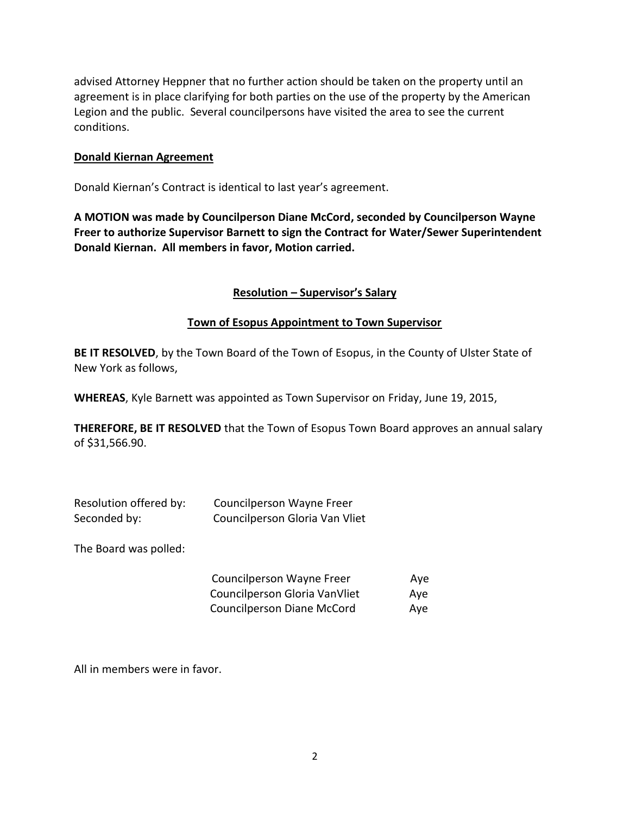advised Attorney Heppner that no further action should be taken on the property until an agreement is in place clarifying for both parties on the use of the property by the American Legion and the public. Several councilpersons have visited the area to see the current conditions.

### **Donald Kiernan Agreement**

Donald Kiernan's Contract is identical to last year's agreement.

**A MOTION was made by Councilperson Diane McCord, seconded by Councilperson Wayne Freer to authorize Supervisor Barnett to sign the Contract for Water/Sewer Superintendent Donald Kiernan. All members in favor, Motion carried.** 

### **Resolution – Supervisor's Salary**

#### **Town of Esopus Appointment to Town Supervisor**

**BE IT RESOLVED**, by the Town Board of the Town of Esopus, in the County of Ulster State of New York as follows,

**WHEREAS**, Kyle Barnett was appointed as Town Supervisor on Friday, June 19, 2015,

**THEREFORE, BE IT RESOLVED** that the Town of Esopus Town Board approves an annual salary of \$31,566.90.

| Resolution offered by: | Councilperson Wayne Freer      |
|------------------------|--------------------------------|
| Seconded by:           | Councilperson Gloria Van Vliet |

The Board was polled:

| Councilperson Wayne Freer     | Ave |
|-------------------------------|-----|
| Councilperson Gloria VanVliet | Ave |
| Councilperson Diane McCord    | Ave |

All in members were in favor.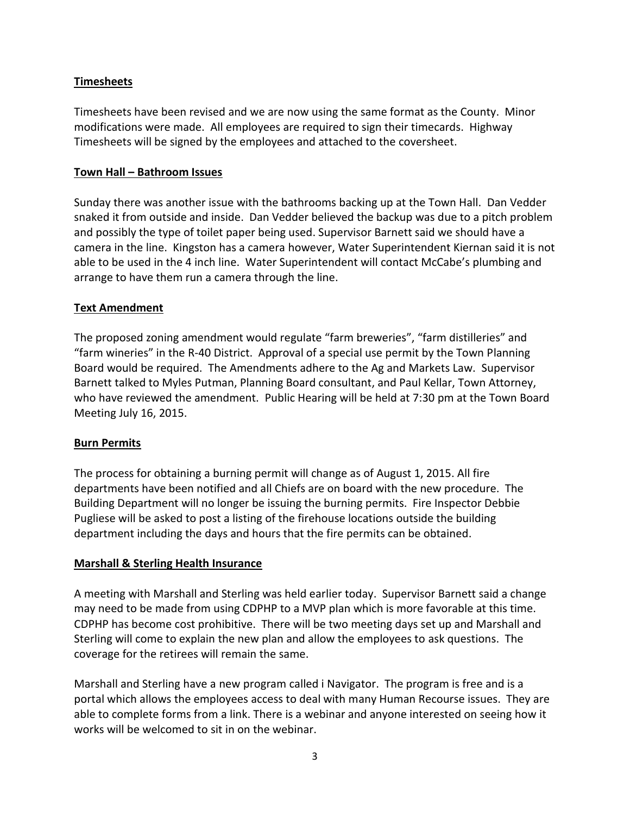# **Timesheets**

Timesheets have been revised and we are now using the same format as the County. Minor modifications were made. All employees are required to sign their timecards. Highway Timesheets will be signed by the employees and attached to the coversheet.

## **Town Hall – Bathroom Issues**

Sunday there was another issue with the bathrooms backing up at the Town Hall. Dan Vedder snaked it from outside and inside. Dan Vedder believed the backup was due to a pitch problem and possibly the type of toilet paper being used. Supervisor Barnett said we should have a camera in the line. Kingston has a camera however, Water Superintendent Kiernan said it is not able to be used in the 4 inch line. Water Superintendent will contact McCabe's plumbing and arrange to have them run a camera through the line.

## **Text Amendment**

The proposed zoning amendment would regulate "farm breweries", "farm distilleries" and "farm wineries" in the R-40 District. Approval of a special use permit by the Town Planning Board would be required. The Amendments adhere to the Ag and Markets Law. Supervisor Barnett talked to Myles Putman, Planning Board consultant, and Paul Kellar, Town Attorney, who have reviewed the amendment. Public Hearing will be held at 7:30 pm at the Town Board Meeting July 16, 2015.

# **Burn Permits**

The process for obtaining a burning permit will change as of August 1, 2015. All fire departments have been notified and all Chiefs are on board with the new procedure. The Building Department will no longer be issuing the burning permits. Fire Inspector Debbie Pugliese will be asked to post a listing of the firehouse locations outside the building department including the days and hours that the fire permits can be obtained.

# **Marshall & Sterling Health Insurance**

A meeting with Marshall and Sterling was held earlier today. Supervisor Barnett said a change may need to be made from using CDPHP to a MVP plan which is more favorable at this time. CDPHP has become cost prohibitive. There will be two meeting days set up and Marshall and Sterling will come to explain the new plan and allow the employees to ask questions. The coverage for the retirees will remain the same.

Marshall and Sterling have a new program called i Navigator. The program is free and is a portal which allows the employees access to deal with many Human Recourse issues. They are able to complete forms from a link. There is a webinar and anyone interested on seeing how it works will be welcomed to sit in on the webinar.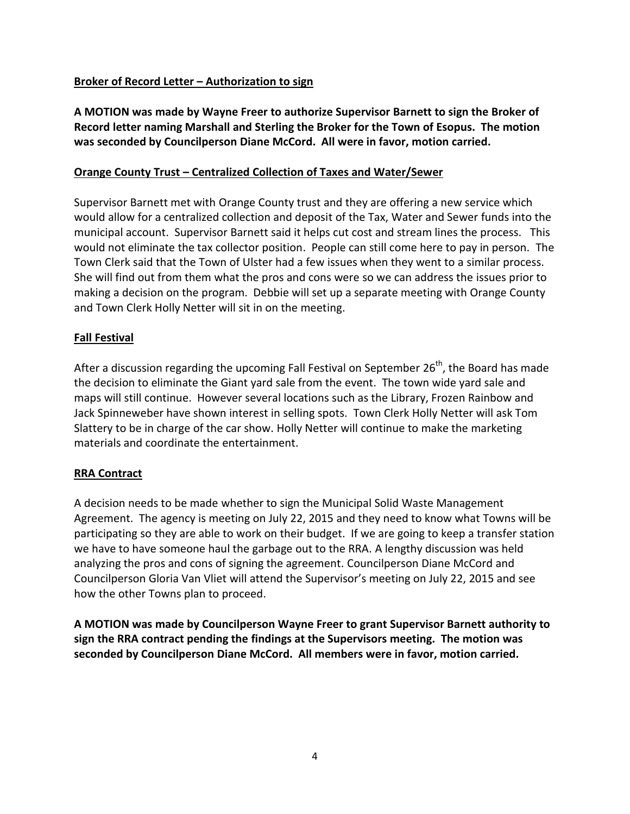# **Broker of Record Letter – Authorization to sign**

**A MOTION was made by Wayne Freer to authorize Supervisor Barnett to sign the Broker of Record letter naming Marshall and Sterling the Broker for the Town of Esopus. The motion was seconded by Councilperson Diane McCord. All were in favor, motion carried.**

### **Orange County Trust – Centralized Collection of Taxes and Water/Sewer**

Supervisor Barnett met with Orange County trust and they are offering a new service which would allow for a centralized collection and deposit of the Tax, Water and Sewer funds into the municipal account. Supervisor Barnett said it helps cut cost and stream lines the process. This would not eliminate the tax collector position. People can still come here to pay in person. The Town Clerk said that the Town of Ulster had a few issues when they went to a similar process. She will find out from them what the pros and cons were so we can address the issues prior to making a decision on the program. Debbie will set up a separate meeting with Orange County and Town Clerk Holly Netter will sit in on the meeting.

### **Fall Festival**

After a discussion regarding the upcoming Fall Festival on September 26<sup>th</sup>, the Board has made the decision to eliminate the Giant yard sale from the event. The town wide yard sale and maps will still continue. However several locations such as the Library, Frozen Rainbow and Jack Spinneweber have shown interest in selling spots. Town Clerk Holly Netter will ask Tom Slattery to be in charge of the car show. Holly Netter will continue to make the marketing materials and coordinate the entertainment.

### **RRA Contract**

A decision needs to be made whether to sign the Municipal Solid Waste Management Agreement. The agency is meeting on July 22, 2015 and they need to know what Towns will be participating so they are able to work on their budget. If we are going to keep a transfer station we have to have someone haul the garbage out to the RRA. A lengthy discussion was held analyzing the pros and cons of signing the agreement. Councilperson Diane McCord and Councilperson Gloria Van Vliet will attend the Supervisor's meeting on July 22, 2015 and see how the other Towns plan to proceed.

**A MOTION was made by Councilperson Wayne Freer to grant Supervisor Barnett authority to sign the RRA contract pending the findings at the Supervisors meeting. The motion was seconded by Councilperson Diane McCord. All members were in favor, motion carried.**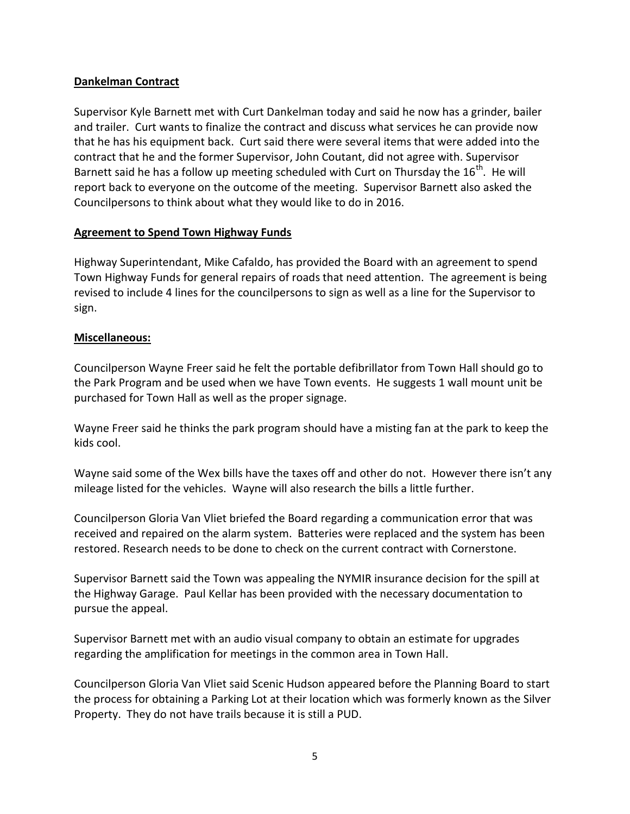## **Dankelman Contract**

Supervisor Kyle Barnett met with Curt Dankelman today and said he now has a grinder, bailer and trailer. Curt wants to finalize the contract and discuss what services he can provide now that he has his equipment back. Curt said there were several items that were added into the contract that he and the former Supervisor, John Coutant, did not agree with. Supervisor Barnett said he has a follow up meeting scheduled with Curt on Thursday the  $16^{th}$ . He will report back to everyone on the outcome of the meeting. Supervisor Barnett also asked the Councilpersons to think about what they would like to do in 2016.

### **Agreement to Spend Town Highway Funds**

Highway Superintendant, Mike Cafaldo, has provided the Board with an agreement to spend Town Highway Funds for general repairs of roads that need attention. The agreement is being revised to include 4 lines for the councilpersons to sign as well as a line for the Supervisor to sign.

## **Miscellaneous:**

Councilperson Wayne Freer said he felt the portable defibrillator from Town Hall should go to the Park Program and be used when we have Town events. He suggests 1 wall mount unit be purchased for Town Hall as well as the proper signage.

Wayne Freer said he thinks the park program should have a misting fan at the park to keep the kids cool.

Wayne said some of the Wex bills have the taxes off and other do not. However there isn't any mileage listed for the vehicles. Wayne will also research the bills a little further.

Councilperson Gloria Van Vliet briefed the Board regarding a communication error that was received and repaired on the alarm system. Batteries were replaced and the system has been restored. Research needs to be done to check on the current contract with Cornerstone.

Supervisor Barnett said the Town was appealing the NYMIR insurance decision for the spill at the Highway Garage. Paul Kellar has been provided with the necessary documentation to pursue the appeal.

Supervisor Barnett met with an audio visual company to obtain an estimate for upgrades regarding the amplification for meetings in the common area in Town Hall.

Councilperson Gloria Van Vliet said Scenic Hudson appeared before the Planning Board to start the process for obtaining a Parking Lot at their location which was formerly known as the Silver Property. They do not have trails because it is still a PUD.